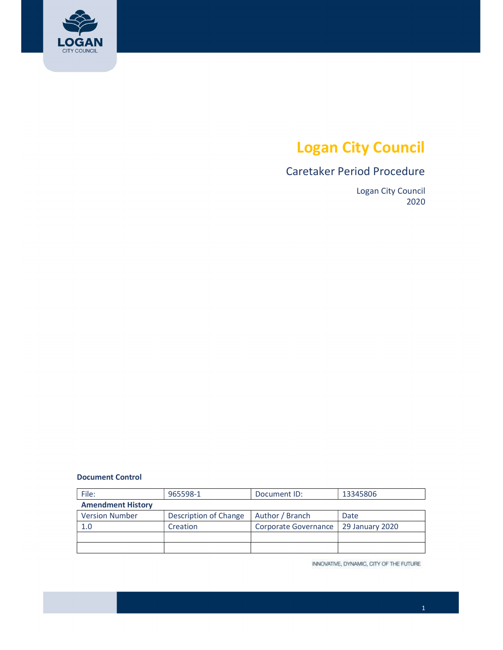

# Logan City Council

## Caretaker Period Procedure

 Logan City Council 2020

#### Document Control

| File:                    | 965598-1              | Document ID:         | 13345806        |
|--------------------------|-----------------------|----------------------|-----------------|
| <b>Amendment History</b> |                       |                      |                 |
| <b>Version Number</b>    | Description of Change | Author / Branch      | Date            |
| 1.0                      | Creation              | Corporate Governance | 29 January 2020 |
|                          |                       |                      |                 |
|                          |                       |                      |                 |

INNOVATIVE, DYNAMIC, CITY OF THE FUTURE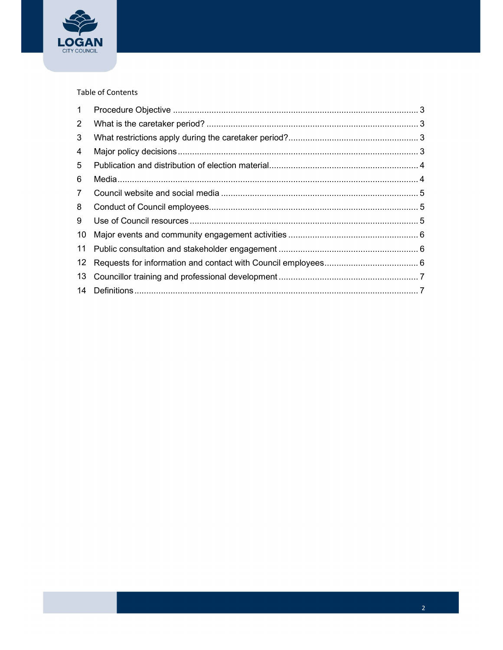

### Table of Contents

| $\mathbf{1}$         |  |
|----------------------|--|
| $\mathbf{2}^{\circ}$ |  |
| 3                    |  |
| 4                    |  |
| 5                    |  |
| 6                    |  |
| $7\overline{ }$      |  |
| 8                    |  |
| 9                    |  |
| 10                   |  |
| 11                   |  |
| 12 <sup>°</sup>      |  |
|                      |  |
|                      |  |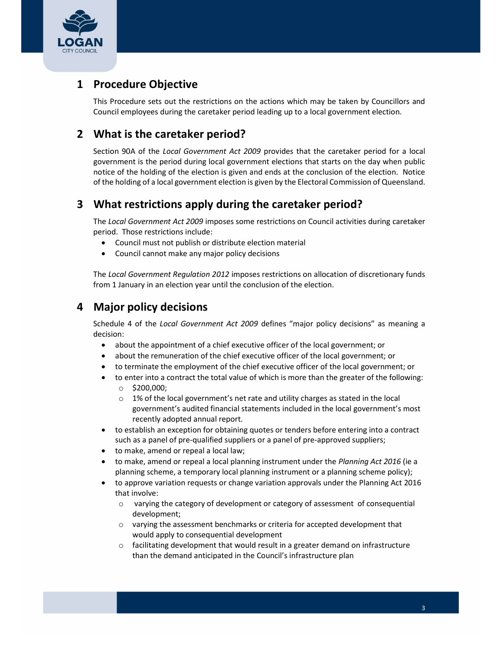<span id="page-2-0"></span>

# 1 Procedure Objective

 This Procedure sets out the restrictions on the actions which may be taken by Councillors and Council employees during the caretaker period leading up to a local government election.

## 2 What is the caretaker period?

Section 90A of the Local Government Act 2009 provides that the caretaker period for a local government is the period during local government elections that starts on the day when public notice of the holding of the election is given and ends at the conclusion of the election. Notice of the holding of a local government election is given by the Electoral Commission of Queensland.

## 3 What restrictions apply during the caretaker period?

The Local Government Act 2009 imposes some restrictions on Council activities during caretaker period. Those restrictions include:

- Council must not publish or distribute election material
- Council cannot make any major policy decisions

The Local Government Regulation 2012 imposes restrictions on allocation of discretionary funds from 1 January in an election year until the conclusion of the election.

## 4 Major policy decisions

Schedule 4 of the Local Government Act 2009 defines "major policy decisions" as meaning a decision:

- about the appointment of a chief executive officer of the local government; or
- about the remuneration of the chief executive officer of the local government; or
- to terminate the employment of the chief executive officer of the local government; or
- to enter into a contract the total value of which is more than the greater of the following: o \$200,000;
	- $\circ$  1% of the local government's net rate and utility charges as stated in the local government's audited financial statements included in the local government's most recently adopted annual report.
- to establish an exception for obtaining quotes or tenders before entering into a contract such as a panel of pre-qualified suppliers or a panel of pre-approved suppliers;
- to make, amend or repeal a local law;
- to make, amend or repeal a local planning instrument under the Planning Act 2016 (ie a planning scheme, a temporary local planning instrument or a planning scheme policy);
- to approve variation requests or change variation approvals under the Planning Act 2016 that involve:
	- o varying the category of development or category of assessment of consequential development;
	- o varying the assessment benchmarks or criteria for accepted development that would apply to consequential development
	- $\circ$  facilitating development that would result in a greater demand on infrastructure than the demand anticipated in the Council's infrastructure plan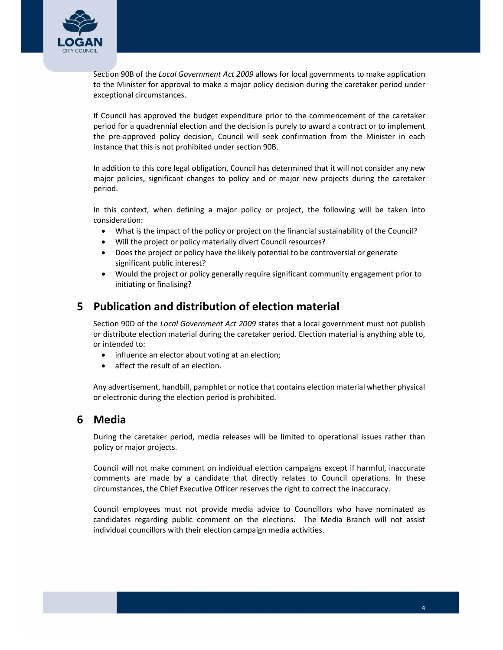<span id="page-3-0"></span>

Section 90B of the Local Government Act 2009 allows for local governments to make application to the Minister for approval to make a major policy decision during the caretaker period under exceptional circumstances.

 If Council has approved the budget expenditure prior to the commencement of the caretaker period for a quadrennial election and the decision is purely to award a contract or to implement the pre-approved policy decision, Council will seek confirmation from the Minister in each instance that this is not prohibited under section 90B.

 In addition to this core legal obligation, Council has determined that it will not consider any new major policies, significant changes to policy and or major new projects during the caretaker period.

 In this context, when defining a major policy or project, the following will be taken into consideration:

- What is the impact of the policy or project on the financial sustainability of the Council?
- Will the project or policy materially divert Council resources?
- Does the project or policy have the likely potential to be controversial or generate significant public interest?
- Would the project or policy generally require significant community engagement prior to initiating or finalising?

## 5 Publication and distribution of election material

Section 90D of the Local Government Act 2009 states that a local government must not publish or distribute election material during the caretaker period. Election material is anything able to, or intended to:

- influence an elector about voting at an election;
- affect the result of an election.

 Any advertisement, handbill, pamphlet or notice that contains election material whether physical or electronic during the election period is prohibited.

## 6 Media

 During the caretaker period, media releases will be limited to operational issues rather than policy or major projects.

 Council will not make comment on individual election campaigns except if harmful, inaccurate comments are made by a candidate that directly relates to Council operations. In these circumstances, the Chief Executive Officer reserves the right to correct the inaccuracy.

 Council employees must not provide media advice to Councillors who have nominated as candidates regarding public comment on the elections. The Media Branch will not assist individual councillors with their election campaign media activities.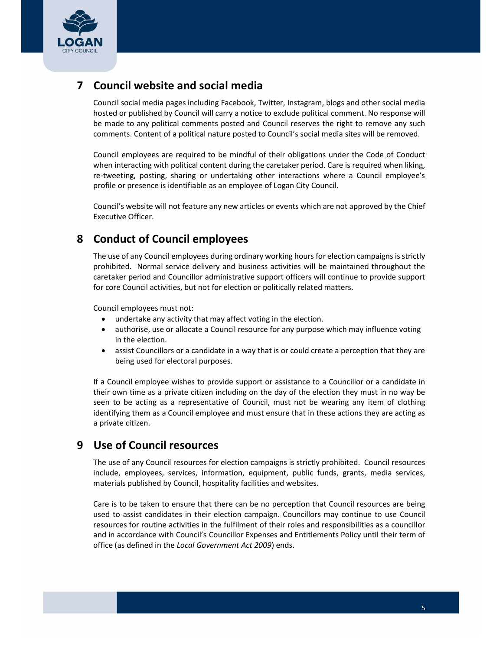<span id="page-4-0"></span>

## 7 Council website and social media

 Council social media pages including Facebook, Twitter, Instagram, blogs and other social media hosted or published by Council will carry a notice to exclude political comment. No response will be made to any political comments posted and Council reserves the right to remove any such comments. Content of a political nature posted to Council's social media sites will be removed.

 Council employees are required to be mindful of their obligations under the Code of Conduct when interacting with political content during the caretaker period. Care is required when liking, re-tweeting, posting, sharing or undertaking other interactions where a Council employee's profile or presence is identifiable as an employee of Logan City Council.

 Council's website will not feature any new articles or events which are not approved by the Chief Executive Officer.

## 8 Conduct of Council employees

The use of any Council employees during ordinary working hours for election campaigns is strictly prohibited. Normal service delivery and business activities will be maintained throughout the caretaker period and Councillor administrative support officers will continue to provide support for core Council activities, but not for election or politically related matters.

Council employees must not:

- undertake any activity that may affect voting in the election.
- authorise, use or allocate a Council resource for any purpose which may influence voting in the election.
- assist Councillors or a candidate in a way that is or could create a perception that they are being used for electoral purposes.

 If a Council employee wishes to provide support or assistance to a Councillor or a candidate in their own time as a private citizen including on the day of the election they must in no way be seen to be acting as a representative of Council, must not be wearing any item of clothing identifying them as a Council employee and must ensure that in these actions they are acting as a private citizen.

## 9 Use of Council resources

 The use of any Council resources for election campaigns is strictly prohibited. Council resources include, employees, services, information, equipment, public funds, grants, media services, materials published by Council, hospitality facilities and websites.

 Care is to be taken to ensure that there can be no perception that Council resources are being used to assist candidates in their election campaign. Councillors may continue to use Council resources for routine activities in the fulfilment of their roles and responsibilities as a councillor and in accordance with Council's Councillor Expenses and Entitlements Policy until their term of office (as defined in the Local Government Act 2009) ends.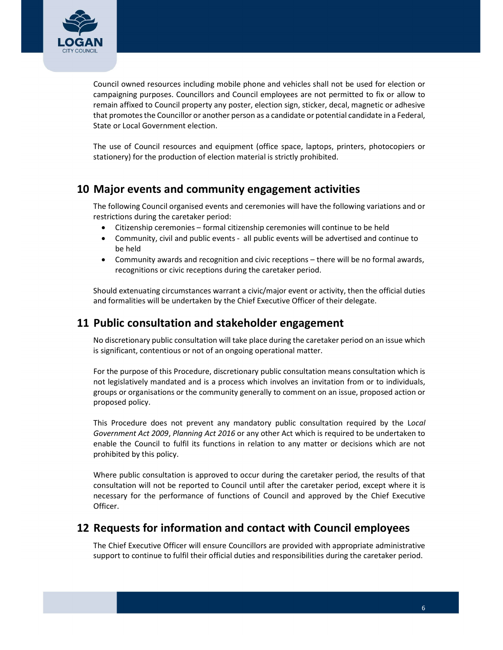<span id="page-5-0"></span>

 Council owned resources including mobile phone and vehicles shall not be used for election or campaigning purposes. Councillors and Council employees are not permitted to fix or allow to remain affixed to Council property any poster, election sign, sticker, decal, magnetic or adhesive that promotesthe Councillor or another person as a candidate or potential candidate in a Federal, State or Local Government election.

 The use of Council resources and equipment (office space, laptops, printers, photocopiers or stationery) for the production of election material is strictly prohibited.

## 10 Major events and community engagement activities

 The following Council organised events and ceremonies will have the following variations and or restrictions during the caretaker period:

- Citizenship ceremonies formal citizenship ceremonies will continue to be held
- Community, civil and public events all public events will be advertised and continue to be held
- Community awards and recognition and civic receptions there will be no formal awards, recognitions or civic receptions during the caretaker period.

 Should extenuating circumstances warrant a civic/major event or activity, then the official duties and formalities will be undertaken by the Chief Executive Officer of their delegate.

## 11 Public consultation and stakeholder engagement

 No discretionary public consultation will take place during the caretaker period on an issue which is significant, contentious or not of an ongoing operational matter.

 For the purpose of this Procedure, discretionary public consultation means consultation which is not legislatively mandated and is a process which involves an invitation from or to individuals, groups or organisations or the community generally to comment on an issue, proposed action or proposed policy.

This Procedure does not prevent any mandatory public consultation required by the Local Government Act 2009, Planning Act 2016 or any other Act which is required to be undertaken to enable the Council to fulfil its functions in relation to any matter or decisions which are not prohibited by this policy.

 Where public consultation is approved to occur during the caretaker period, the results of that consultation will not be reported to Council until after the caretaker period, except where it is necessary for the performance of functions of Council and approved by the Chief Executive Officer.

## 12 Requests for information and contact with Council employees

 The Chief Executive Officer will ensure Councillors are provided with appropriate administrative support to continue to fulfil their official duties and responsibilities during the caretaker period.